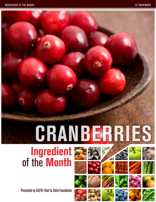# **CRANBERRIES**

## **Ingredient** of the **Month**



















Presented by ACFEF Chef & Child Foundation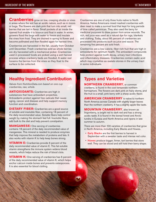**Cranberries** grow on low, creeping shrubs or vines in areas where the soil has an acidic nature, such as in moors or bogs. The flowers are dark pink that turn into small, red berries that are tart in flavor. Small pockets of air inside the ripened fruit enable it to bounce and float in water. In winter, growers flood the bogs with water to freeze and insulate the vines from frost. They are drained in spring to flower and become pollinated and then flooded again for harvest time.

Cranberries are harvested in the fall, usually from October until December. Fresh cranberries sold as whole berries are dry harvested with a mechanical picker. Cranberries used in processed foods are picked using a wet-harvest process where cranberry beds are flooded. A water reel loosens the berries from the vines so they float to the surface to be collected.

Cranberries are one of only three fruits native to North America. Native Americans mixed mashed cranberries with deer meat to make a survival food that kept for long periods of time called pemmican. They also used the berry for medicinal purposes to draw poison from arrow wounds. The rich, red juice was used as a natural dye for rugs, blankets and clothing. Today, about 95 percent of cranberries are processed into products such as juice and sauce. The remaining five percent are sold fresh.

Cranberries are a low-calorie, fiber-rich fruit that are high in antioxidants for optimum health. The antioxidant compounds help protect against tooth decay, urinary tract infections and inflammatory diseases. Cranberries contain oxalic acid which may crystallize as oxalate-stones in the urinary tract in some individuals.

#### **Healthy Ingredient Contribution**

*Values from NutritionData.com based on one cup cranberries, raw, whole.*

**ANTIOXIDANTS:** Cranberries are high in substances that have antioxidant properties. Antioxidants protect against free radicals that cause aging, cancer and disease and help support memory function and coordination.

**DIETARY FIBER:** Cranberries are a good source of soluble and insoluble fiber, containing 18 percent of the daily recommended value. Soluble fibers help control weight by making the stomach feel full. Insoluble fibers add bulk to the diet and help prevent constipation.

**MANGANESE:** One serving of cranberries contains 18 percent of the daily recommended value of manganese. This mineral is needed to produce enzymes that help improve the metabolism of proteins and fats. It also works with vitamin K to help keep bones strong.

**VITAMIN E:** Cranberries provide 6 percent of the daily recommended value of vitamin E. This fat-soluble vitamin strengthens the immune system widens blood vessels, which helps reduce the risk of blood clots.

**VITAMIN K:** One serving of cranberries has 6 percent of the daily recommended value of vitamin K, which helps anchor calcium inside bones and prevents osteoporosis. It is also essential for blood clotting.

### **Types and Varieties**

**NORTHERN CRANBERRY**, or common cranberry, is found in the cool temperate northern hemisphere. The flowers are dark pink on hairy stems, and the fruit is a small, pink berry with a sharp acidic flavor.

**AMERICAN CRANBERRY** is native to northern North America across Canada with slightly larger leaves than the northern cranberry. It has a slightly apple-like taste.

**MOUNTAIN CRANBERRY**, also known as lingonberry, is bright red to dark red and has a strong acidic taste. It is found in the boreal forest and Arctic tundra in Eurasia and North America and ripens in late summer to autumn.

There are more than 100 varieties of cranberries that grow in North America, including Early Blacks and Howes.

- **Early Blacks** are the first berries to harvest in September with a sweeter taste and intense red color.
- Howes produce bigger, firmer, tart berries that store well. They can be sliced and still hold their berry shape.